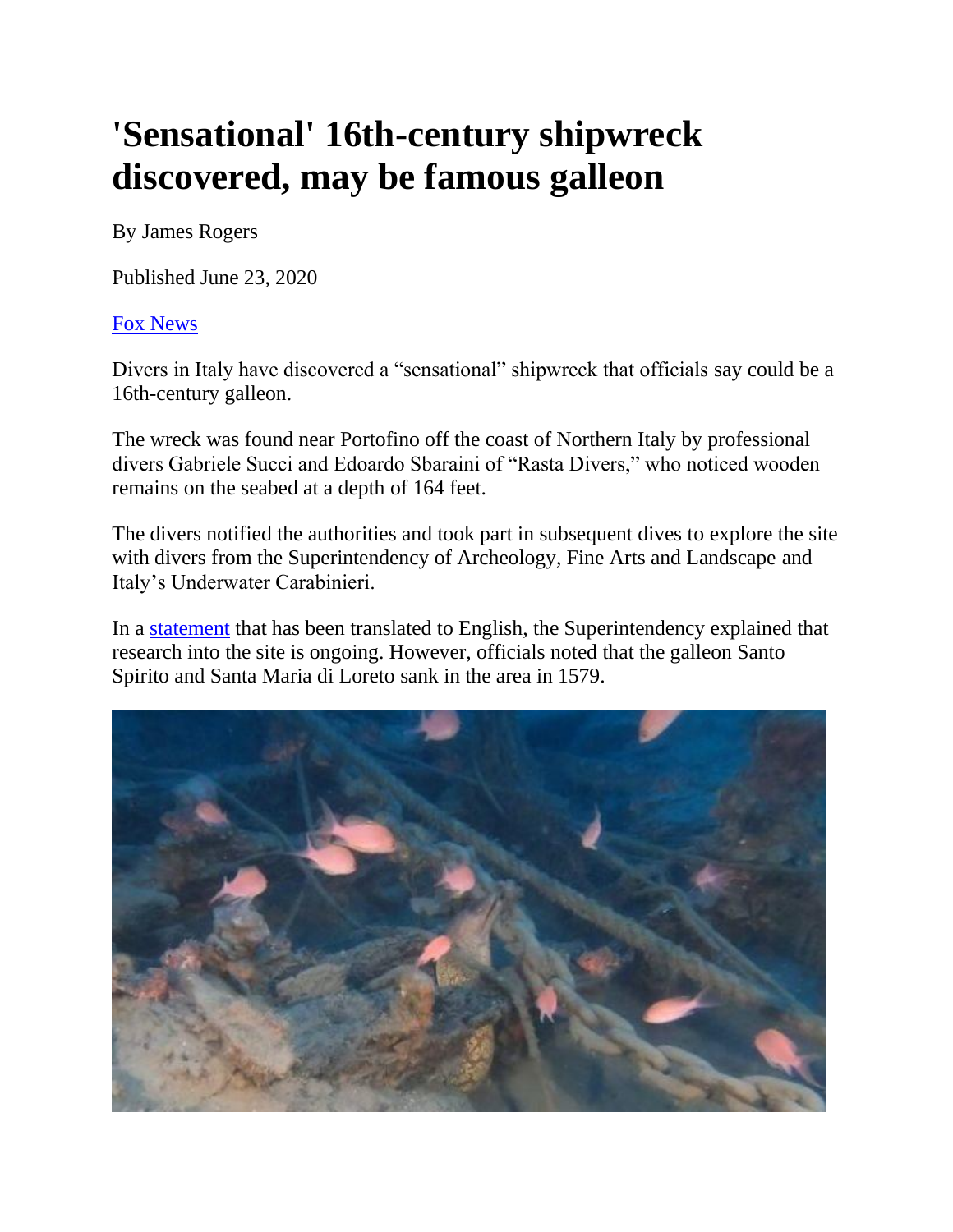## **'Sensational' 16th-century shipwreck discovered, may be famous galleon**

By James Rogers

Published June 23, 2020

## [Fox News](http://www.foxnews.com/)

Divers in Italy have discovered a "sensational" shipwreck that officials say could be a 16th-century galleon.

The wreck was found near Portofino off the coast of Northern Italy by professional divers Gabriele Succi and Edoardo Sbaraini of "Rasta Divers," who noticed wooden remains on the seabed at a depth of 164 feet.

The divers notified the authorities and took part in subsequent dives to explore the site with divers from the Superintendency of Archeology, Fine Arts and Landscape and Italy's Underwater Carabinieri.

In a [statement](https://soprintendenza.liguria.beniculturali.it/?p=2216) that has been translated to English, the Superintendency explained that research into the site is ongoing. However, officials noted that the galleon Santo Spirito and Santa Maria di Loreto sank in the area in 1579.

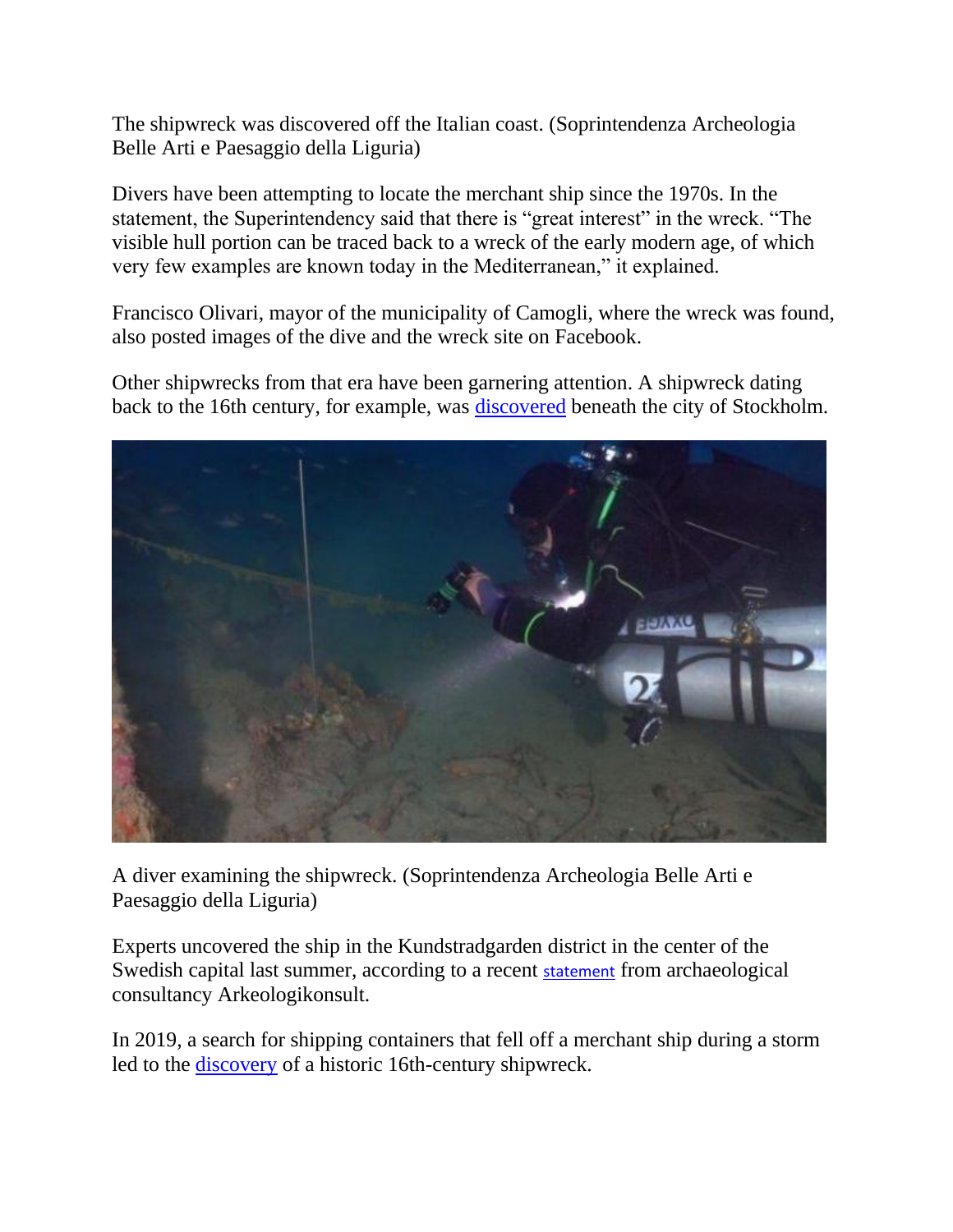The shipwreck was discovered off the Italian coast. (Soprintendenza Archeologia Belle Arti e Paesaggio della Liguria)

Divers have been attempting to locate the merchant ship since the 1970s. In the statement, the Superintendency said that there is "great interest" in the wreck. "The visible hull portion can be traced back to a wreck of the early modern age, of which very few examples are known today in the Mediterranean," it explained.

Francisco Olivari, mayor of the municipality of Camogli, where the wreck was found, also posted images of the dive and the wreck site on Facebook.

Other shipwrecks from that era have been garnering attention. A shipwreck dating back to the 16th century, for example, was [discovered](https://www.foxnews.com/science/16th-century-shipwreck-uncovered-in-the-center-of-stockholm) beneath the city of Stockholm.



A diver examining the shipwreck. (Soprintendenza Archeologia Belle Arti e Paesaggio della Liguria)

Experts uncovered the ship in the Kundstradgarden district in the center of the Swedish capital last summer, according to a recent [statement](https://www.arkeologikonsult.se/52-undersoekningar/2019/smaprojekt-2019/179-pressmeddelande-kronans-skepp-samson-fran-1500-talet-funnet-vid-kungstraedgarden) from archaeological consultancy Arkeologikonsult.

In 2019, a search for shipping containers that fell off a merchant ship during a storm led to the [discovery](https://www.foxnews.com/science/search-for-lost-sea-containers-leads-to-discovery-of-16th-century-dutch-shipwreck) of a historic 16th-century shipwreck.